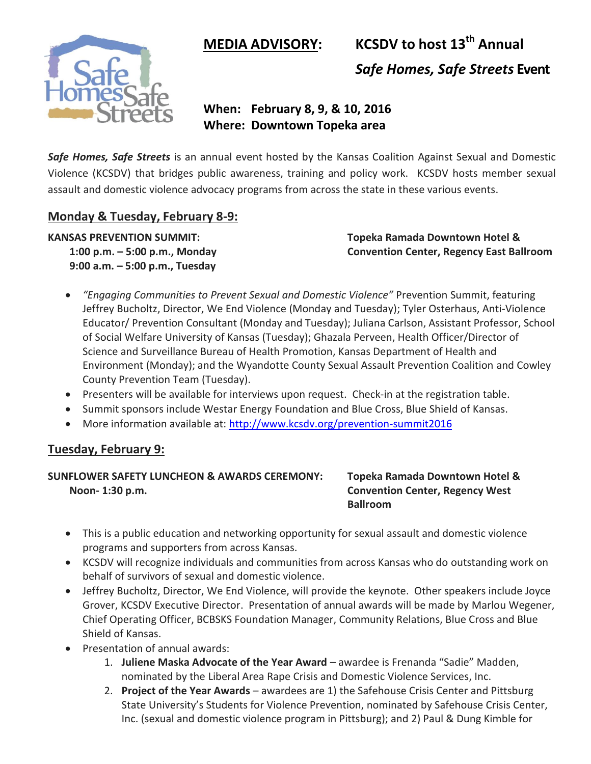$MEDIA$   $ADVISORY:$ 



**KCSDV** to host 13<sup>th</sup> Annual *Safe Homes, Safe Streets* **Event**

# **When: February 8, 9, & 10, 2016 Where: Downtown Topeka area**

*Safe Homes, Safe Streets* is an annual event hosted by the Kansas Coalition Against Sexual and Domestic Violence (KCSDV) that bridges public awareness, training and policy work. KCSDV hosts member sexual assault and domestic violence advocacy programs from across the state in these various events.

# **Monday & Tuesday, February 8-9:**

**9:00 a.m. – 5:00 p.m., Tuesday**

**KANSAS PREVENTION SUMMIT: Topeka Ramada Downtown Hotel & 1:00 p.m. – 5:00 p.m., Monday Convention Center, Regency East Ballroom**

- *"Engaging Communities to Prevent Sexual and Domestic Violence"* Prevention Summit, featuring Jeffrey Bucholtz, Director, We End Violence (Monday and Tuesday); Tyler Osterhaus, Anti-Violence Educator/ Prevention Consultant (Monday and Tuesday); Juliana Carlson, Assistant Professor, School of Social Welfare University of Kansas (Tuesday); Ghazala Perveen, Health Officer/Director of Science and Surveillance Bureau of Health Promotion, Kansas Department of Health and Environment (Monday); and the Wyandotte County Sexual Assault Prevention Coalition and Cowley County Prevention Team (Tuesday).
- Presenters will be available for interviews upon request. Check-in at the registration table.
- Summit sponsors include Westar Energy Foundation and Blue Cross, Blue Shield of Kansas.
- More information available at:<http://www.kcsdv.org/prevention-summit2016>

# **Tuesday, February 9:**

### **SUNFLOWER SAFETY LUNCHEON & AWARDS CEREMONY: Topeka Ramada Downtown Hotel & Noon- 1:30 p.m. Convention Center, Regency West**

# **Ballroom**

- This is a public education and networking opportunity for sexual assault and domestic violence programs and supporters from across Kansas.
- KCSDV will recognize individuals and communities from across Kansas who do outstanding work on behalf of survivors of sexual and domestic violence.
- Jeffrey Bucholtz, Director, We End Violence, will provide the keynote. Other speakers include Joyce Grover, KCSDV Executive Director. Presentation of annual awards will be made by Marlou Wegener, Chief Operating Officer, BCBSKS Foundation Manager, Community Relations, Blue Cross and Blue Shield of Kansas.
- Presentation of annual awards:
	- 1. **Juliene Maska Advocate of the Year Award** awardee is Frenanda "Sadie" Madden, nominated by the Liberal Area Rape Crisis and Domestic Violence Services, Inc.
	- 2. **Project of the Year Awards** awardees are 1) the Safehouse Crisis Center and Pittsburg State University's Students for Violence Prevention, nominated by Safehouse Crisis Center, Inc. (sexual and domestic violence program in Pittsburg); and 2) Paul & Dung Kimble for